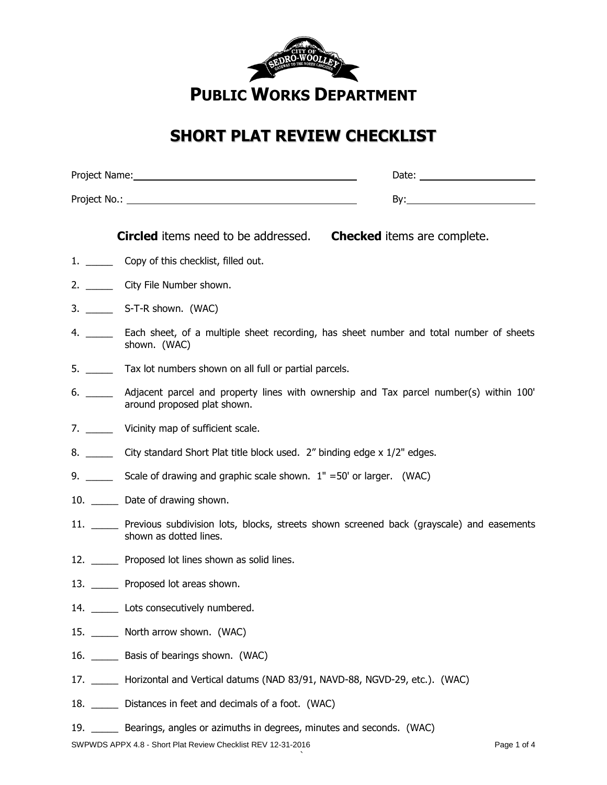

## **SHORT PLAT REVIEW CHECKLIST**

|                    | Date: __________________________                                                                                               |
|--------------------|--------------------------------------------------------------------------------------------------------------------------------|
|                    |                                                                                                                                |
|                    | <b>Circled</b> items need to be addressed.<br><b>Checked</b> items are complete.                                               |
|                    | 1. ________ Copy of this checklist, filled out.                                                                                |
|                    | 2. ________ City File Number shown.                                                                                            |
|                    |                                                                                                                                |
|                    | 4. _______ Each sheet, of a multiple sheet recording, has sheet number and total number of sheets<br>shown. (WAC)              |
|                    | Tax lot numbers shown on all full or partial parcels.                                                                          |
| 6. $\_\_$          | Adjacent parcel and property lines with ownership and Tax parcel number(s) within 100'<br>around proposed plat shown.          |
| 7. $\qquad$        | Vicinity map of sufficient scale.                                                                                              |
|                    | City standard Short Plat title block used. 2" binding edge x 1/2" edges.                                                       |
| 9. $\qquad \qquad$ | Scale of drawing and graphic scale shown. $1'' = 50'$ or larger. (WAC)                                                         |
|                    | 10. _______ Date of drawing shown.                                                                                             |
|                    | 11. _______ Previous subdivision lots, blocks, streets shown screened back (grayscale) and easements<br>shown as dotted lines. |
|                    | 12. _______ Proposed lot lines shown as solid lines.                                                                           |
|                    | 13. _______ Proposed lot areas shown.                                                                                          |
|                    | 14. _______ Lots consecutively numbered.                                                                                       |
|                    | 15. North arrow shown. (WAC)                                                                                                   |
|                    | 16. _______ Basis of bearings shown. (WAC)                                                                                     |
|                    | 17. _______ Horizontal and Vertical datums (NAD 83/91, NAVD-88, NGVD-29, etc.). (WAC)                                          |
|                    | 18. _______ Distances in feet and decimals of a foot. (WAC)                                                                    |

19. \_\_\_\_\_ Bearings, angles or azimuths in degrees, minutes and seconds. (WAC)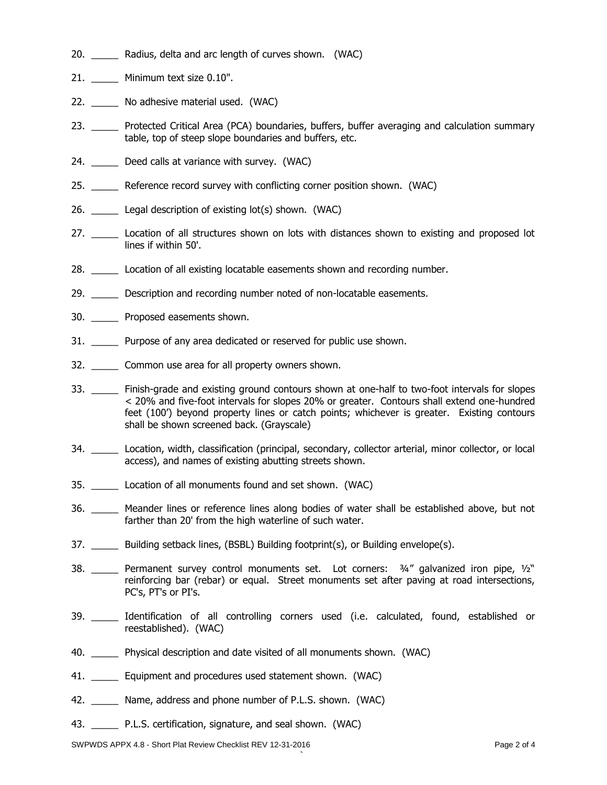- 20. Radius, delta and arc length of curves shown. (WAC)
- 21. \_\_\_\_\_ Minimum text size 0.10".
- 22. \_\_\_\_\_\_ No adhesive material used. (WAC)
- 23. \_\_\_\_\_ Protected Critical Area (PCA) boundaries, buffers, buffer averaging and calculation summary table, top of steep slope boundaries and buffers, etc.
- 24. Deed calls at variance with survey. (WAC)
- 25. \_\_\_\_\_ Reference record survey with conflicting corner position shown. (WAC)
- 26. \_\_\_\_\_ Legal description of existing lot(s) shown. (WAC)
- 27. \_\_\_\_\_\_\_ Location of all structures shown on lots with distances shown to existing and proposed lot lines if within 50'.
- 28. \_\_\_\_\_\_ Location of all existing locatable easements shown and recording number.
- 29. Description and recording number noted of non-locatable easements.
- 30. \_\_\_\_\_ Proposed easements shown.
- 31. \_\_\_\_\_ Purpose of any area dedicated or reserved for public use shown.
- 32. \_\_\_\_\_ Common use area for all property owners shown.
- 33. \_\_\_\_\_\_ Finish-grade and existing ground contours shown at one-half to two-foot intervals for slopes < 20% and five-foot intervals for slopes 20% or greater. Contours shall extend one-hundred feet (100') beyond property lines or catch points; whichever is greater. Existing contours shall be shown screened back. (Grayscale)
- 34. \_\_\_\_\_ Location, width, classification (principal, secondary, collector arterial, minor collector, or local access), and names of existing abutting streets shown.
- 35. \_\_\_\_\_ Location of all monuments found and set shown. (WAC)
- 36. \_\_\_\_\_ Meander lines or reference lines along bodies of water shall be established above, but not farther than 20' from the high waterline of such water.
- 37. \_\_\_\_\_\_ Building setback lines, (BSBL) Building footprint(s), or Building envelope(s).
- 38. \_\_\_\_\_ Permanent survey control monuments set. Lot corners: 3/4" galvanized iron pipe, 1/2" reinforcing bar (rebar) or equal. Street monuments set after paving at road intersections, PC's, PT's or PI's.
- 39. \_\_\_\_\_ Identification of all controlling corners used (i.e. calculated, found, established or reestablished). (WAC)

`

- 40. \_\_\_\_\_ Physical description and date visited of all monuments shown. (WAC)
- 41. \_\_\_\_\_\_ Equipment and procedures used statement shown. (WAC)
- 42. \_\_\_\_\_ Name, address and phone number of P.L.S. shown. (WAC)
- 43. \_\_\_\_\_ P.L.S. certification, signature, and seal shown. (WAC)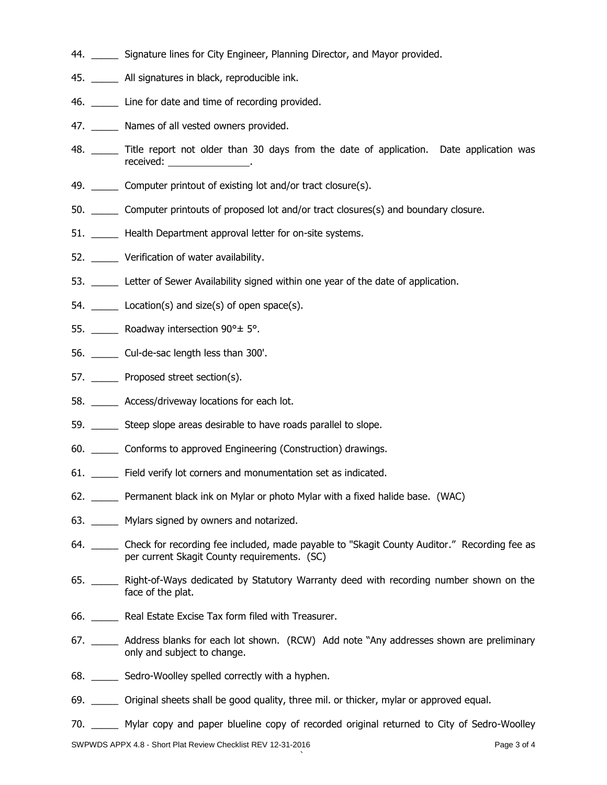- 44. \_\_\_\_\_ Signature lines for City Engineer, Planning Director, and Mayor provided.
- 45. \_\_\_\_\_ All signatures in black, reproducible ink.
- 46. Line for date and time of recording provided.
- 47. \_\_\_\_\_\_ Names of all vested owners provided.
- 48. \_\_\_\_\_ Title report not older than 30 days from the date of application. Date application was received: .
- 49. Computer printout of existing lot and/or tract closure(s).
- 50. \_\_\_\_\_ Computer printouts of proposed lot and/or tract closures(s) and boundary closure.
- 51. \_\_\_\_\_\_ Health Department approval letter for on-site systems.
- 52. Verification of water availability.
- 53. Letter of Sewer Availability signed within one year of the date of application.
- 54. Location(s) and size(s) of open space(s).
- 55. \_\_\_\_\_\_ Roadway intersection 90° ± 5°.
- 56. \_\_\_\_\_ Cul-de-sac length less than 300'.
- 57. Proposed street section(s).
- 58. \_\_\_\_\_ Access/driveway locations for each lot.
- 59. \_\_\_\_\_\_ Steep slope areas desirable to have roads parallel to slope.
- 60. \_\_\_\_\_ Conforms to approved Engineering (Construction) drawings.
- 61. \_\_\_\_\_ Field verify lot corners and monumentation set as indicated.
- 62. \_\_\_\_\_ Permanent black ink on Mylar or photo Mylar with a fixed halide base. (WAC)
- 63. Mylars signed by owners and notarized.
- 64. \_\_\_\_\_\_ Check for recording fee included, made payable to "Skagit County Auditor." Recording fee as per current Skagit County requirements. (SC)
- 65. \_\_\_\_\_ Right-of-Ways dedicated by Statutory Warranty deed with recording number shown on the face of the plat.
- 66. \_\_\_\_\_ Real Estate Excise Tax form filed with Treasurer.
- 67. \_\_\_\_\_\_ Address blanks for each lot shown. (RCW) Add note "Any addresses shown are preliminary only and subject to change.
- 68. \_\_\_\_\_ Sedro-Woolley spelled correctly with a hyphen.
- 69. \_\_\_\_\_ Original sheets shall be good quality, three mil. or thicker, mylar or approved equal.
- 70. \_\_\_\_\_ Mylar copy and paper blueline copy of recorded original returned to City of Sedro-Woolley

`